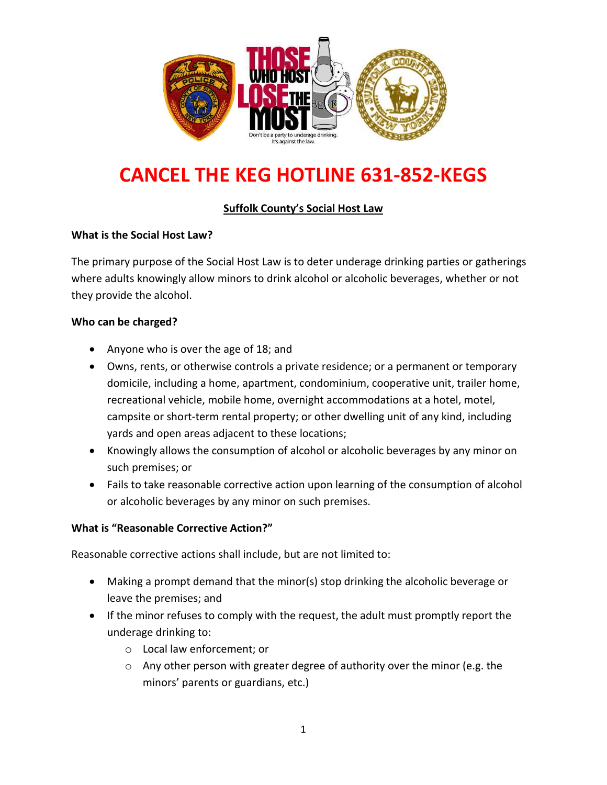

# **CANCEL THE KEG HOTLINE 631-852-KEGS**

## **Suffolk County's Social Host Law**

### **What is the Social Host Law?**

The primary purpose of the Social Host Law is to deter underage drinking parties or gatherings where adults knowingly allow minors to drink alcohol or alcoholic beverages, whether or not they provide the alcohol.

### **Who can be charged?**

- Anyone who is over the age of 18; and
- Owns, rents, or otherwise controls a private residence; or a permanent or temporary domicile, including a home, apartment, condominium, cooperative unit, trailer home, recreational vehicle, mobile home, overnight accommodations at a hotel, motel, campsite or short‐term rental property; or other dwelling unit of any kind, including yards and open areas adjacent to these locations;
- Knowingly allows the consumption of alcohol or alcoholic beverages by any minor on such premises; or
- Fails to take reasonable corrective action upon learning of the consumption of alcohol or alcoholic beverages by any minor on such premises.

#### **What is "Reasonable Corrective Action?"**

Reasonable corrective actions shall include, but are not limited to:

- Making a prompt demand that the minor(s) stop drinking the alcoholic beverage or leave the premises; and
- If the minor refuses to comply with the request, the adult must promptly report the underage drinking to:
	- o Local law enforcement; or
	- $\circ$  Any other person with greater degree of authority over the minor (e.g. the minors' parents or guardians, etc.)